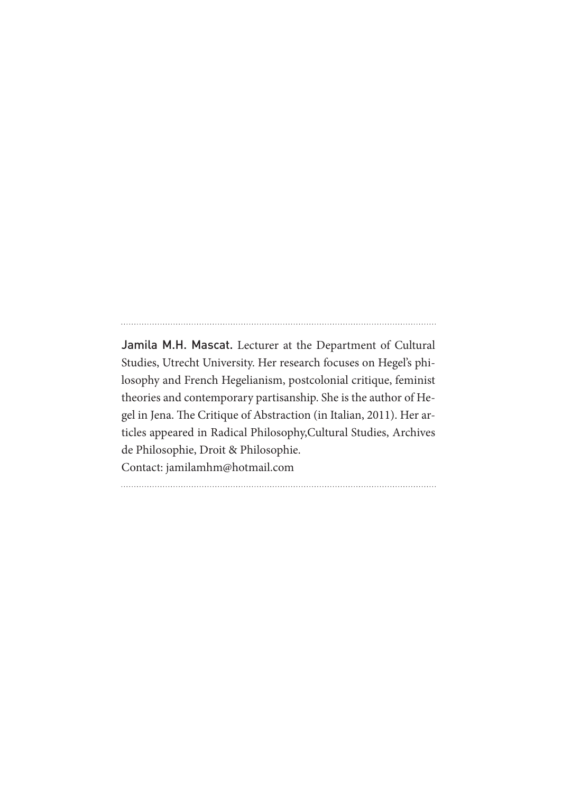Jamila M.H. Mascat. Lecturer at the Department of Cultural Studies, Utrecht University. Her research focuses on Hegel's philosophy and French Hegelianism, postcolonial critique, feminist theories and contemporary partisanship. She is the author of Hegel in Jena. The Critique of Abstraction (in Italian, 2011). Her articles appeared in Radical Philosophy,Cultural Studies, Archives de Philosophie, Droit & Philosophie.

Contact: jamilamhm@hotmail.com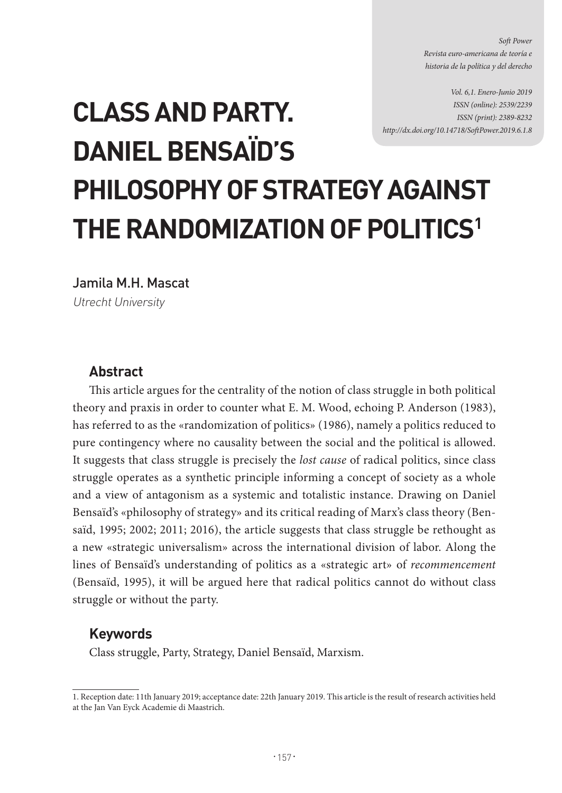*Soft Power Revista euro-americana de teoría e historia de la política y del derecho*

*Vol. 6,1. Enero-Junio 2019 ISSN (online): 2539/2239 ISSN (print): 2389-8232 http://dx.doi.org/10.14718/SoftPower.2019.6.1.8*

# **CLASS AND PARTY. DANIEL BENSAÏD'S PHILOSOPHY OF STRATEGY AGAINST THE RANDOMIZATION OF POLITICS1**

Jamila M.H. Mascat Utrecht University

## **Abstract**

This article argues for the centrality of the notion of class struggle in both political theory and praxis in order to counter what E. M. Wood, echoing P. Anderson (1983), has referred to as the «randomization of politics» (1986), namely a politics reduced to pure contingency where no causality between the social and the political is allowed. It suggests that class struggle is precisely the *lost cause* of radical politics, since class struggle operates as a synthetic principle informing a concept of society as a whole and a view of antagonism as a systemic and totalistic instance. Drawing on Daniel Bensaïd's «philosophy of strategy» and its critical reading of Marx's class theory (Bensaïd, 1995; 2002; 2011; 2016), the article suggests that class struggle be rethought as a new «strategic universalism» across the international division of labor. Along the lines of Bensaïd's understanding of politics as a «strategic art» of *recommencement* (Bensaïd, 1995), it will be argued here that radical politics cannot do without class struggle or without the party.

## **Keywords**

Class struggle, Party, Strategy, Daniel Bensaïd, Marxism.

<sup>1.</sup> Reception date: 11th January 2019; acceptance date: 22th January 2019. This article is the result of research activities held at the Jan Van Eyck Academie di Maastrich.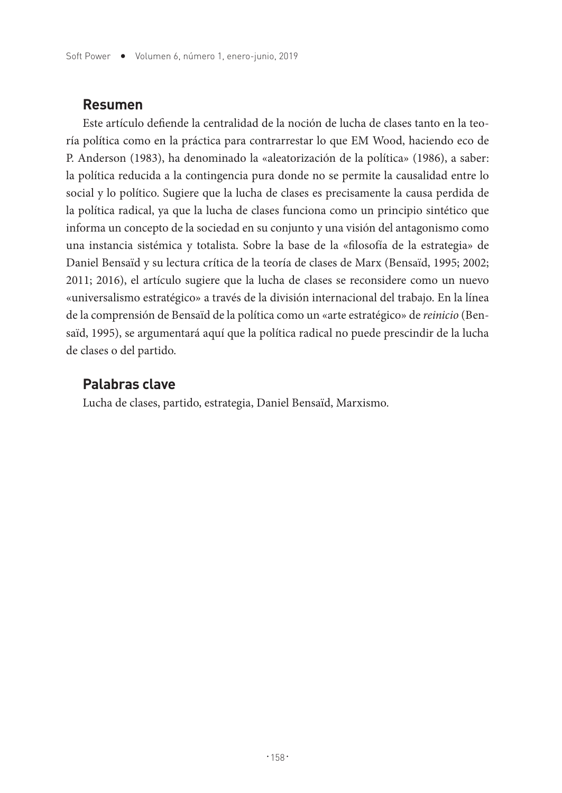#### **Resumen**

Este artículo defiende la centralidad de la noción de lucha de clases tanto en la teoría política como en la práctica para contrarrestar lo que EM Wood, haciendo eco de P. Anderson (1983), ha denominado la «aleatorización de la política» (1986), a saber: la política reducida a la contingencia pura donde no se permite la causalidad entre lo social y lo político. Sugiere que la lucha de clases es precisamente la causa perdida de la política radical, ya que la lucha de clases funciona como un principio sintético que informa un concepto de la sociedad en su conjunto y una visión del antagonismo como una instancia sistémica y totalista. Sobre la base de la «filosofía de la estrategia» de Daniel Bensaïd y su lectura crítica de la teoría de clases de Marx (Bensaïd, 1995; 2002; 2011; 2016), el artículo sugiere que la lucha de clases se reconsidere como un nuevo «universalismo estratégico» a través de la división internacional del trabajo. En la línea de la comprensión de Bensaïd de la política como un «arte estratégico» de *reinicio* (Bensaïd, 1995), se argumentará aquí que la política radical no puede prescindir de la lucha de clases o del partido.

## **Palabras clave**

Lucha de clases, partido, estrategia, Daniel Bensaïd, Marxismo.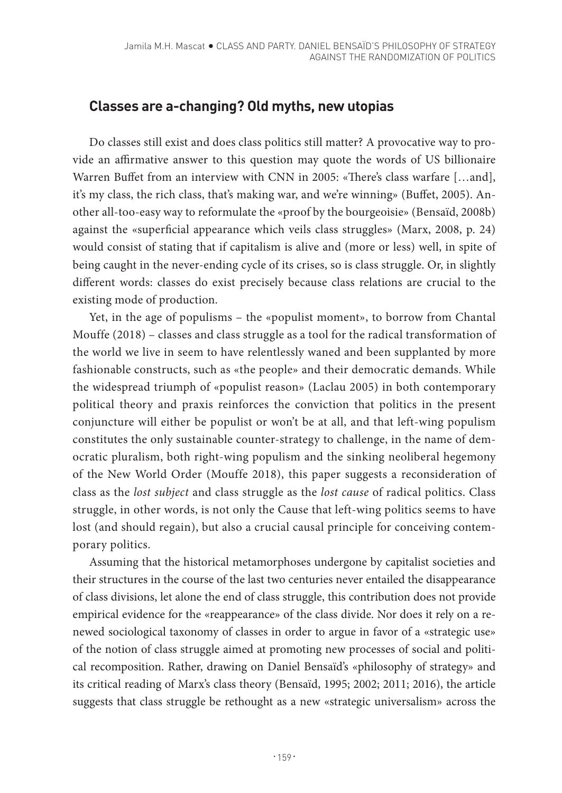# **Classes are a-changing? Old myths, new utopias**

Do classes still exist and does class politics still matter? A provocative way to provide an affirmative answer to this question may quote the words of US billionaire Warren Buffet from an interview with CNN in 2005: «There's class warfare […and], it's my class, the rich class, that's making war, and we're winning» (Buffet, 2005). Another all-too-easy way to reformulate the «proof by the bourgeoisie» (Bensaïd, 2008b) against the «superficial appearance which veils class struggles» (Marx, 2008, p. 24) would consist of stating that if capitalism is alive and (more or less) well, in spite of being caught in the never-ending cycle of its crises, so is class struggle. Or, in slightly different words: classes do exist precisely because class relations are crucial to the existing mode of production.

Yet, in the age of populisms – the «populist moment», to borrow from Chantal Mouffe (2018) – classes and class struggle as a tool for the radical transformation of the world we live in seem to have relentlessly waned and been supplanted by more fashionable constructs, such as «the people» and their democratic demands. While the widespread triumph of «populist reason» (Laclau 2005) in both contemporary political theory and praxis reinforces the conviction that politics in the present conjuncture will either be populist or won't be at all, and that left-wing populism constitutes the only sustainable counter-strategy to challenge, in the name of democratic pluralism, both right-wing populism and the sinking neoliberal hegemony of the New World Order (Mouffe 2018), this paper suggests a reconsideration of class as the *lost subject* and class struggle as the *lost cause* of radical politics. Class struggle, in other words, is not only the Cause that left-wing politics seems to have lost (and should regain), but also a crucial causal principle for conceiving contemporary politics.

Assuming that the historical metamorphoses undergone by capitalist societies and their structures in the course of the last two centuries never entailed the disappearance of class divisions, let alone the end of class struggle, this contribution does not provide empirical evidence for the «reappearance» of the class divide. Nor does it rely on a renewed sociological taxonomy of classes in order to argue in favor of a «strategic use» of the notion of class struggle aimed at promoting new processes of social and political recomposition. Rather, drawing on Daniel Bensaïd's «philosophy of strategy» and its critical reading of Marx's class theory (Bensaïd, 1995; 2002; 2011; 2016), the article suggests that class struggle be rethought as a new «strategic universalism» across the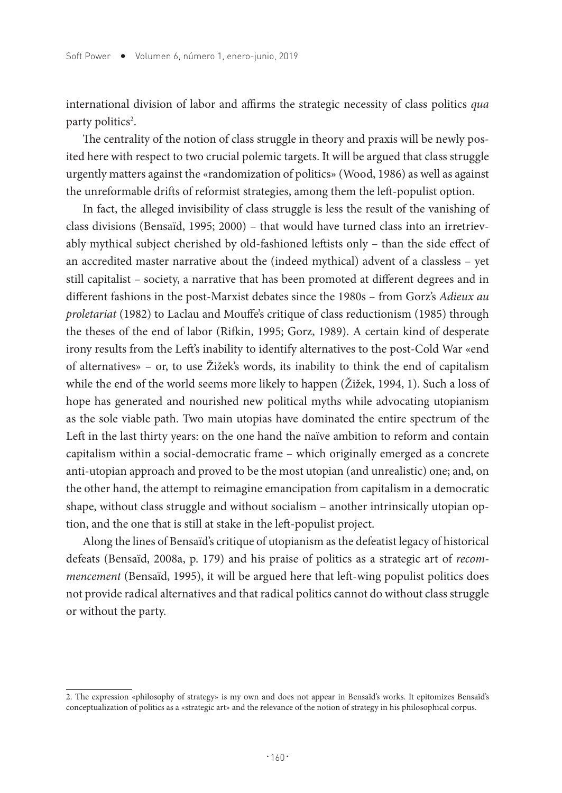international division of labor and affirms the strategic necessity of class politics *qua* party politics<sup>2</sup>.

The centrality of the notion of class struggle in theory and praxis will be newly posited here with respect to two crucial polemic targets. It will be argued that class struggle urgently matters against the «randomization of politics» (Wood, 1986) as well as against the unreformable drifts of reformist strategies, among them the left-populist option.

In fact, the alleged invisibility of class struggle is less the result of the vanishing of class divisions (Bensaïd, 1995; 2000) – that would have turned class into an irretrievably mythical subject cherished by old-fashioned leftists only – than the side effect of an accredited master narrative about the (indeed mythical) advent of a classless – yet still capitalist – society, a narrative that has been promoted at different degrees and in different fashions in the post-Marxist debates since the 1980s – from Gorz's *Adieux au proletariat* (1982) to Laclau and Mouffe's critique of class reductionism (1985) through the theses of the end of labor (Rifkin, 1995; Gorz, 1989). A certain kind of desperate irony results from the Left's inability to identify alternatives to the post-Cold War «end of alternatives» – or, to use Žižek's words, its inability to think the end of capitalism while the end of the world seems more likely to happen (Žižek, 1994, 1). Such a loss of hope has generated and nourished new political myths while advocating utopianism as the sole viable path. Two main utopias have dominated the entire spectrum of the Left in the last thirty years: on the one hand the naïve ambition to reform and contain capitalism within a social-democratic frame – which originally emerged as a concrete anti-utopian approach and proved to be the most utopian (and unrealistic) one; and, on the other hand, the attempt to reimagine emancipation from capitalism in a democratic shape, without class struggle and without socialism – another intrinsically utopian option, and the one that is still at stake in the left-populist project.

Along the lines of Bensaïd's critique of utopianism as the defeatist legacy of historical defeats (Bensaïd, 2008a, p. 179) and his praise of politics as a strategic art of *recommencement* (Bensaïd, 1995), it will be argued here that left-wing populist politics does not provide radical alternatives and that radical politics cannot do without class struggle or without the party.

<sup>2.</sup> The expression «philosophy of strategy» is my own and does not appear in Bensaïd's works. It epitomizes Bensaïd's conceptualization of politics as a «strategic art» and the relevance of the notion of strategy in his philosophical corpus.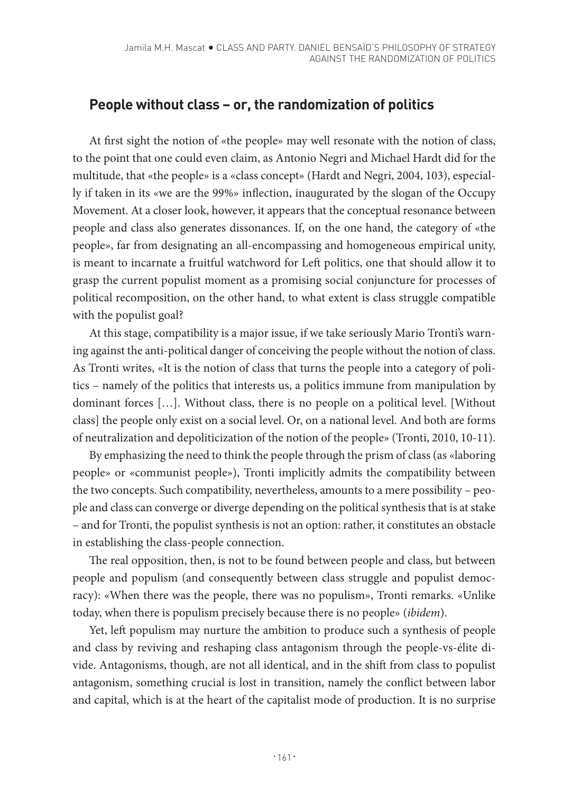# **People without class – or, the randomization of politics**

At first sight the notion of «the people» may well resonate with the notion of class, to the point that one could even claim, as Antonio Negri and Michael Hardt did for the multitude, that «the people» is a «class concept» (Hardt and Negri, 2004, 103), especially if taken in its «we are the 99%» inflection, inaugurated by the slogan of the Occupy Movement. At a closer look, however, it appears that the conceptual resonance between people and class also generates dissonances. If, on the one hand, the category of «the people», far from designating an all-encompassing and homogeneous empirical unity, is meant to incarnate a fruitful watchword for Left politics, one that should allow it to grasp the current populist moment as a promising social conjuncture for processes of political recomposition, on the other hand, to what extent is class struggle compatible with the populist goal?

At this stage, compatibility is a major issue, if we take seriously Mario Tronti's warning against the anti-political danger of conceiving the people without the notion of class. As Tronti writes, «It is the notion of class that turns the people into a category of politics – namely of the politics that interests us, a politics immune from manipulation by dominant forces […]. Without class, there is no people on a political level. [Without class] the people only exist on a social level. Or, on a national level. And both are forms of neutralization and depoliticization of the notion of the people» (Tronti, 2010, 10-11).

By emphasizing the need to think the people through the prism of class (as «laboring people» or «communist people»), Tronti implicitly admits the compatibility between the two concepts. Such compatibility, nevertheless, amounts to a mere possibility – people and class can converge or diverge depending on the political synthesis that is at stake – and for Tronti, the populist synthesis is not an option: rather, it constitutes an obstacle in establishing the class-people connection.

The real opposition, then, is not to be found between people and class, but between people and populism (and consequently between class struggle and populist democracy): «When there was the people, there was no populism», Tronti remarks. «Unlike today, when there is populism precisely because there is no people» (*ibidem*).

Yet, left populism may nurture the ambition to produce such a synthesis of people and class by reviving and reshaping class antagonism through the people-vs-élite divide. Antagonisms, though, are not all identical, and in the shift from class to populist antagonism, something crucial is lost in transition, namely the conflict between labor and capital, which is at the heart of the capitalist mode of production. It is no surprise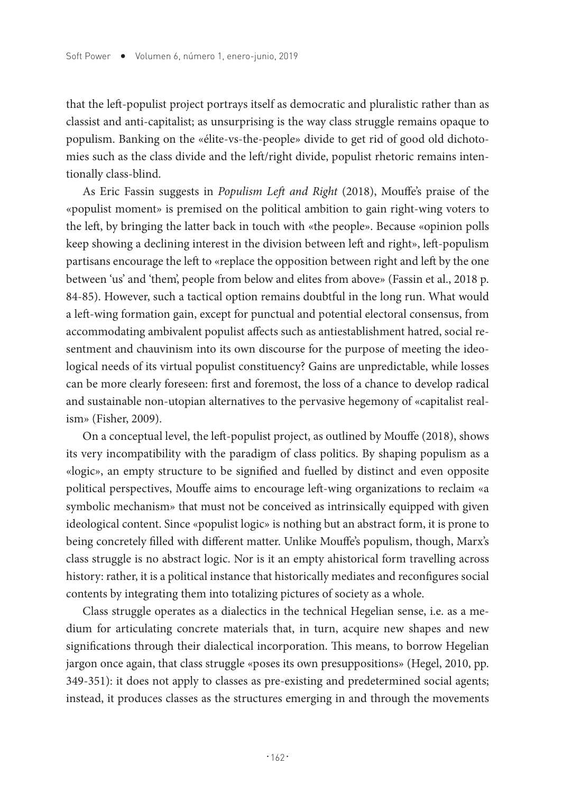that the left-populist project portrays itself as democratic and pluralistic rather than as classist and anti-capitalist; as unsurprising is the way class struggle remains opaque to populism. Banking on the «élite-vs-the-people» divide to get rid of good old dichotomies such as the class divide and the left/right divide, populist rhetoric remains intentionally class-blind.

As Eric Fassin suggests in *Populism Left and Right* (2018), Mouffe's praise of the «populist moment» is premised on the political ambition to gain right-wing voters to the left, by bringing the latter back in touch with «the people». Because «opinion polls keep showing a declining interest in the division between left and right», left-populism partisans encourage the left to «replace the opposition between right and left by the one between 'us' and 'them', people from below and elites from above» (Fassin et al., 2018 p. 84-85). However, such a tactical option remains doubtful in the long run. What would a left-wing formation gain, except for punctual and potential electoral consensus, from accommodating ambivalent populist affects such as antiestablishment hatred, social resentment and chauvinism into its own discourse for the purpose of meeting the ideological needs of its virtual populist constituency? Gains are unpredictable, while losses can be more clearly foreseen: first and foremost, the loss of a chance to develop radical and sustainable non-utopian alternatives to the pervasive hegemony of «capitalist realism» (Fisher, 2009).

On a conceptual level, the left-populist project, as outlined by Mouffe (2018), shows its very incompatibility with the paradigm of class politics. By shaping populism as a «logic», an empty structure to be signified and fuelled by distinct and even opposite political perspectives, Mouffe aims to encourage left-wing organizations to reclaim «a symbolic mechanism» that must not be conceived as intrinsically equipped with given ideological content. Since «populist logic» is nothing but an abstract form, it is prone to being concretely filled with different matter. Unlike Mouffe's populism, though, Marx's class struggle is no abstract logic. Nor is it an empty ahistorical form travelling across history: rather, it is a political instance that historically mediates and reconfigures social contents by integrating them into totalizing pictures of society as a whole.

Class struggle operates as a dialectics in the technical Hegelian sense, i.e. as a medium for articulating concrete materials that, in turn, acquire new shapes and new significations through their dialectical incorporation. This means, to borrow Hegelian jargon once again, that class struggle «poses its own presuppositions» (Hegel, 2010, pp. 349-351): it does not apply to classes as pre-existing and predetermined social agents; instead, it produces classes as the structures emerging in and through the movements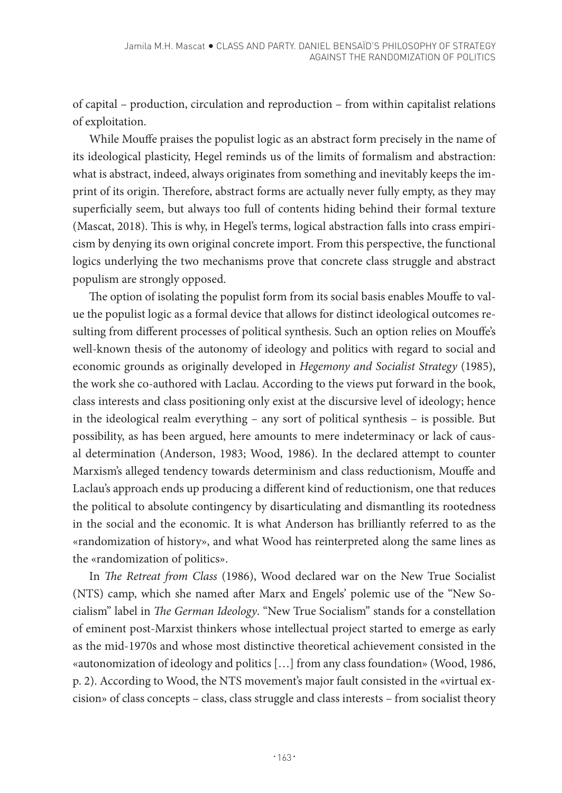of capital – production, circulation and reproduction – from within capitalist relations of exploitation.

While Mouffe praises the populist logic as an abstract form precisely in the name of its ideological plasticity, Hegel reminds us of the limits of formalism and abstraction: what is abstract, indeed, always originates from something and inevitably keeps the imprint of its origin. Therefore, abstract forms are actually never fully empty, as they may superficially seem, but always too full of contents hiding behind their formal texture (Mascat, 2018). This is why, in Hegel's terms, logical abstraction falls into crass empiricism by denying its own original concrete import. From this perspective, the functional logics underlying the two mechanisms prove that concrete class struggle and abstract populism are strongly opposed.

The option of isolating the populist form from its social basis enables Mouffe to value the populist logic as a formal device that allows for distinct ideological outcomes resulting from different processes of political synthesis. Such an option relies on Mouffe's well-known thesis of the autonomy of ideology and politics with regard to social and economic grounds as originally developed in *Hegemony and Socialist Strategy* (1985), the work she co-authored with Laclau. According to the views put forward in the book, class interests and class positioning only exist at the discursive level of ideology; hence in the ideological realm everything – any sort of political synthesis – is possible. But possibility, as has been argued, here amounts to mere indeterminacy or lack of causal determination (Anderson, 1983; Wood, 1986). In the declared attempt to counter Marxism's alleged tendency towards determinism and class reductionism, Mouffe and Laclau's approach ends up producing a different kind of reductionism, one that reduces the political to absolute contingency by disarticulating and dismantling its rootedness in the social and the economic. It is what Anderson has brilliantly referred to as the «randomization of history», and what Wood has reinterpreted along the same lines as the «randomization of politics».

In *The Retreat from Class* (1986), Wood declared war on the New True Socialist (NTS) camp, which she named after Marx and Engels' polemic use of the "New Socialism" label in *The German Ideology*. "New True Socialism" stands for a constellation of eminent post-Marxist thinkers whose intellectual project started to emerge as early as the mid-1970s and whose most distinctive theoretical achievement consisted in the «autonomization of ideology and politics […] from any class foundation» (Wood, 1986, p. 2). According to Wood, the NTS movement's major fault consisted in the «virtual excision» of class concepts – class, class struggle and class interests – from socialist theory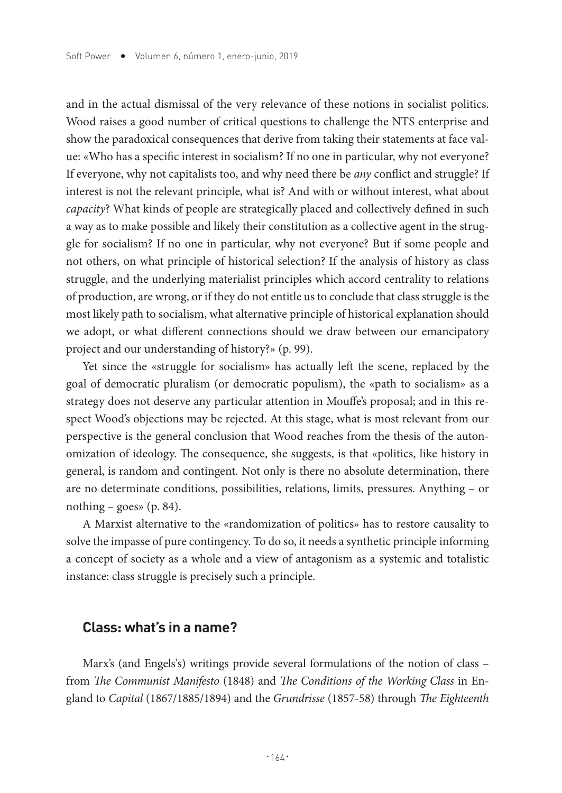and in the actual dismissal of the very relevance of these notions in socialist politics. Wood raises a good number of critical questions to challenge the NTS enterprise and show the paradoxical consequences that derive from taking their statements at face value: «Who has a specific interest in socialism? If no one in particular, why not everyone? If everyone, why not capitalists too, and why need there be *any* conflict and struggle? If interest is not the relevant principle, what is? And with or without interest, what about *capacity*? What kinds of people are strategically placed and collectively defined in such a way as to make possible and likely their constitution as a collective agent in the struggle for socialism? If no one in particular, why not everyone? But if some people and not others, on what principle of historical selection? If the analysis of history as class struggle, and the underlying materialist principles which accord centrality to relations of production, are wrong, or if they do not entitle us to conclude that class struggle is the most likely path to socialism, what alternative principle of historical explanation should we adopt, or what different connections should we draw between our emancipatory project and our understanding of history?» (p. 99).

Yet since the «struggle for socialism» has actually left the scene, replaced by the goal of democratic pluralism (or democratic populism), the «path to socialism» as a strategy does not deserve any particular attention in Mouffe's proposal; and in this respect Wood's objections may be rejected. At this stage, what is most relevant from our perspective is the general conclusion that Wood reaches from the thesis of the autonomization of ideology. The consequence, she suggests, is that «politics, like history in general, is random and contingent. Not only is there no absolute determination, there are no determinate conditions, possibilities, relations, limits, pressures. Anything – or nothing – goes» (p. 84).

A Marxist alternative to the «randomization of politics» has to restore causality to solve the impasse of pure contingency. To do so, it needs a synthetic principle informing a concept of society as a whole and a view of antagonism as a systemic and totalistic instance: class struggle is precisely such a principle.

#### **Class: what's in a name?**

Marx's (and Engels's) writings provide several formulations of the notion of class – from *The Communist Manifesto* (1848) and *The Conditions of the Working Class* in England to *Capital* (1867/1885/1894) and the *Grundrisse* (1857-58) through *The Eighteenth*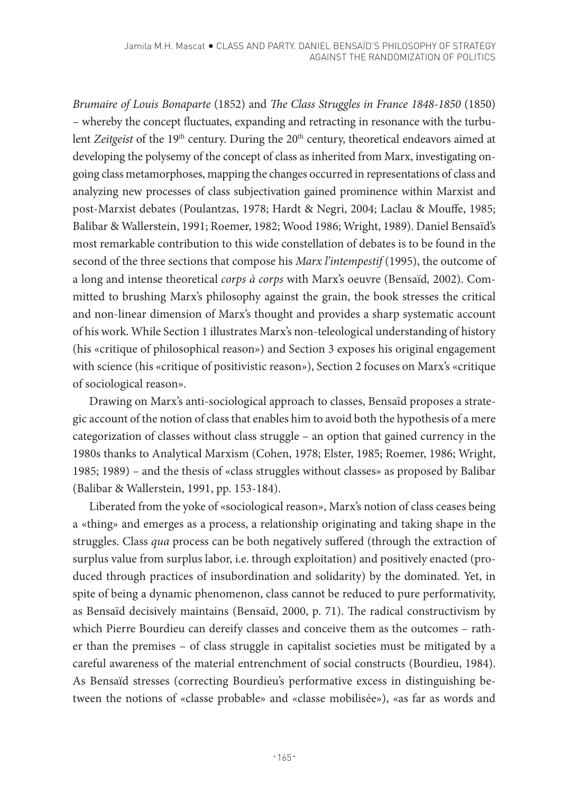*Brumaire of Louis Bonaparte* (1852) and *The Class Struggles in France 1848-1850* (1850) – whereby the concept fluctuates, expanding and retracting in resonance with the turbulent *Zeitgeist* of the 19<sup>th</sup> century. During the 20<sup>th</sup> century, theoretical endeavors aimed at developing the polysemy of the concept of class as inherited from Marx, investigating ongoing class metamorphoses, mapping the changes occurred in representations of class and analyzing new processes of class subjectivation gained prominence within Marxist and post-Marxist debates (Poulantzas, 1978; Hardt & Negri, 2004; Laclau & Mouffe, 1985; Balibar & Wallerstein, 1991; Roemer, 1982; Wood 1986; Wright, 1989). Daniel Bensaïd's most remarkable contribution to this wide constellation of debates is to be found in the second of the three sections that compose his *Marx l'intempestif* (1995), the outcome of a long and intense theoretical *corps à corps* with Marx's oeuvre (Bensaïd*,* 2002). Committed to brushing Marx's philosophy against the grain, the book stresses the critical and non-linear dimension of Marx's thought and provides a sharp systematic account of his work. While Section 1 illustrates Marx's non-teleological understanding of history (his «critique of philosophical reason») and Section 3 exposes his original engagement with science (his «critique of positivistic reason»), Section 2 focuses on Marx's «critique of sociological reason».

Drawing on Marx's anti-sociological approach to classes, Bensaïd proposes a strategic account of the notion of class that enables him to avoid both the hypothesis of a mere categorization of classes without class struggle – an option that gained currency in the 1980s thanks to Analytical Marxism (Cohen, 1978; Elster, 1985; Roemer, 1986; Wright, 1985; 1989) – and the thesis of «class struggles without classes» as proposed by Balibar (Balibar & Wallerstein, 1991, pp. 153-184).

Liberated from the yoke of «sociological reason», Marx's notion of class ceases being a «thing» and emerges as a process, a relationship originating and taking shape in the struggles. Class *qua* process can be both negatively suffered (through the extraction of surplus value from surplus labor, i.e. through exploitation) and positively enacted (produced through practices of insubordination and solidarity) by the dominated. Yet, in spite of being a dynamic phenomenon, class cannot be reduced to pure performativity, as Bensaïd decisively maintains (Bensaïd, 2000, p. 71). The radical constructivism by which Pierre Bourdieu can dereify classes and conceive them as the outcomes – rather than the premises – of class struggle in capitalist societies must be mitigated by a careful awareness of the material entrenchment of social constructs (Bourdieu, 1984). As Bensaïd stresses (correcting Bourdieu's performative excess in distinguishing between the notions of «classe probable» and «classe mobilisée»), «as far as words and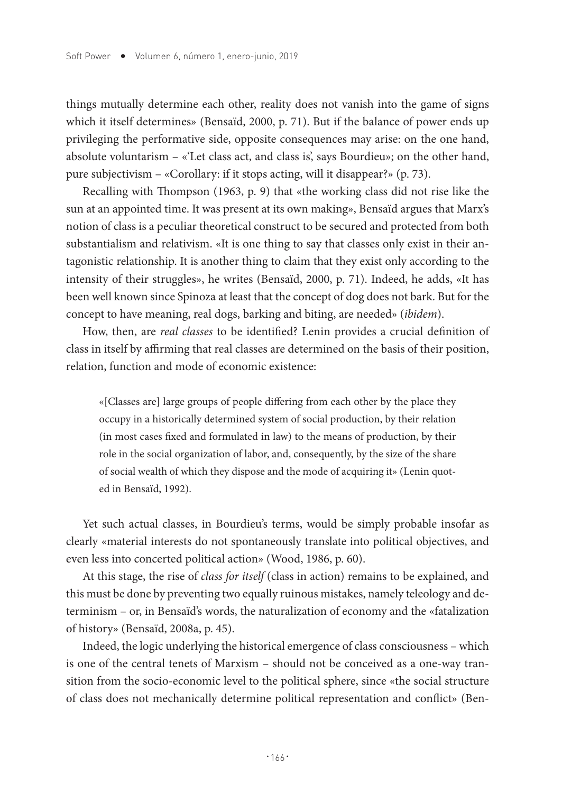things mutually determine each other, reality does not vanish into the game of signs which it itself determines» (Bensaïd, 2000, p. 71). But if the balance of power ends up privileging the performative side, opposite consequences may arise: on the one hand, absolute voluntarism – «'Let class act, and class is', says Bourdieu»; on the other hand, pure subjectivism – «Corollary: if it stops acting, will it disappear?» (p. 73).

Recalling with Thompson (1963, p. 9) that «the working class did not rise like the sun at an appointed time. It was present at its own making», Bensaïd argues that Marx's notion of class is a peculiar theoretical construct to be secured and protected from both substantialism and relativism. «It is one thing to say that classes only exist in their antagonistic relationship. It is another thing to claim that they exist only according to the intensity of their struggles», he writes (Bensaïd, 2000, p. 71). Indeed, he adds, «It has been well known since Spinoza at least that the concept of dog does not bark. But for the concept to have meaning, real dogs, barking and biting, are needed» (*ibidem*).

How, then, are *real classes* to be identified? Lenin provides a crucial definition of class in itself by affirming that real classes are determined on the basis of their position, relation, function and mode of economic existence:

«[Classes are] large groups of people differing from each other by the place they occupy in a historically determined system of social production, by their relation (in most cases fixed and formulated in law) to the means of production, by their role in the social organization of labor, and, consequently, by the size of the share of social wealth of which they dispose and the mode of acquiring it» (Lenin quoted in Bensaïd, 1992).

Yet such actual classes, in Bourdieu's terms, would be simply probable insofar as clearly «material interests do not spontaneously translate into political objectives, and even less into concerted political action» (Wood, 1986, p. 60).

At this stage, the rise of *class for itself* (class in action) remains to be explained, and this must be done by preventing two equally ruinous mistakes, namely teleology and determinism – or, in Bensaïd's words, the naturalization of economy and the «fatalization of history» (Bensaïd, 2008a, p. 45).

Indeed, the logic underlying the historical emergence of class consciousness – which is one of the central tenets of Marxism – should not be conceived as a one-way transition from the socio-economic level to the political sphere, since «the social structure of class does not mechanically determine political representation and conflict» (Ben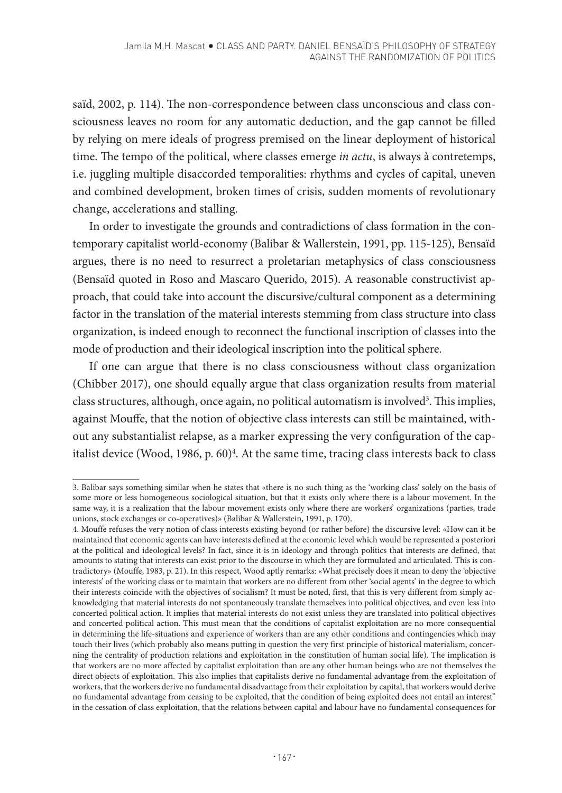saïd, 2002, p. 114). The non-correspondence between class unconscious and class consciousness leaves no room for any automatic deduction, and the gap cannot be filled by relying on mere ideals of progress premised on the linear deployment of historical time. The tempo of the political, where classes emerge *in actu*, is always à contretemps, i.e. juggling multiple disaccorded temporalities: rhythms and cycles of capital, uneven and combined development, broken times of crisis, sudden moments of revolutionary change, accelerations and stalling.

In order to investigate the grounds and contradictions of class formation in the contemporary capitalist world-economy (Balibar & Wallerstein, 1991, pp. 115-125), Bensaïd argues, there is no need to resurrect a proletarian metaphysics of class consciousness (Bensaïd quoted in Roso and Mascaro Querido, 2015). A reasonable constructivist approach, that could take into account the discursive/cultural component as a determining factor in the translation of the material interests stemming from class structure into class organization, is indeed enough to reconnect the functional inscription of classes into the mode of production and their ideological inscription into the political sphere.

If one can argue that there is no class consciousness without class organization (Chibber 2017), one should equally argue that class organization results from material class structures, although, once again, no political automatism is involved<sup>3</sup>. This implies, against Mouffe, that the notion of objective class interests can still be maintained, without any substantialist relapse, as a marker expressing the very configuration of the capitalist device (Wood, 1986, p. 60) $^4$ . At the same time, tracing class interests back to class

<sup>3.</sup> Balibar says something similar when he states that «there is no such thing as the 'working class' solely on the basis of some more or less homogeneous sociological situation, but that it exists only where there is a labour movement. In the same way, it is a realization that the labour movement exists only where there are workers' organizations (parties, trade unions, stock exchanges or co-operatives)» (Balibar & Wallerstein, 1991, p. 170).

<sup>4.</sup> Mouffe refuses the very notion of class interests existing beyond (or rather before) the discursive level: «How can it be maintained that economic agents can have interests defined at the economic level which would be represented a posteriori at the political and ideological levels? In fact, since it is in ideology and through politics that interests are defined, that amounts to stating that interests can exist prior to the discourse in which they are formulated and articulated. This is contradictory» (Mouffe, 1983, p. 21). In this respect, Wood aptly remarks: «What precisely does it mean to deny the 'objective interests' of the working class or to maintain that workers are no different from other 'social agents' in the degree to which their interests coincide with the objectives of socialism? It must be noted, first, that this is very different from simply acknowledging that material interests do not spontaneously translate themselves into political objectives, and even less into concerted political action. It implies that material interests do not exist unless they are translated into political objectives and concerted political action. This must mean that the conditions of capitalist exploitation are no more consequential in determining the life-situations and experience of workers than are any other conditions and contingencies which may touch their lives (which probably also means putting in question the very first principle of historical materialism, concerning the centrality of production relations and exploitation in the constitution of human social life). The implication is that workers are no more affected by capitalist exploitation than are any other human beings who are not themselves the direct objects of exploitation. This also implies that capitalists derive no fundamental advantage from the exploitation of workers, that the workers derive no fundamental disadvantage from their exploitation by capital, that workers would derive no fundamental advantage from ceasing to be exploited, that the condition of being exploited does not entail an interest" in the cessation of class exploitation, that the relations between capital and labour have no fundamental consequences for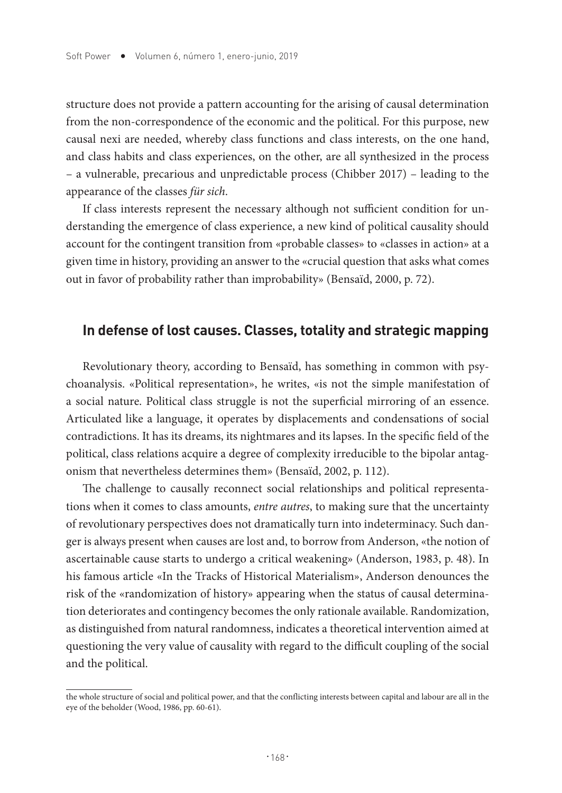structure does not provide a pattern accounting for the arising of causal determination from the non-correspondence of the economic and the political. For this purpose, new causal nexi are needed, whereby class functions and class interests, on the one hand, and class habits and class experiences, on the other, are all synthesized in the process – a vulnerable, precarious and unpredictable process (Chibber 2017) – leading to the appearance of the classes *für sich*.

If class interests represent the necessary although not sufficient condition for understanding the emergence of class experience, a new kind of political causality should account for the contingent transition from «probable classes» to «classes in action» at a given time in history, providing an answer to the «crucial question that asks what comes out in favor of probability rather than improbability» (Bensaïd, 2000, p. 72).

#### **In defense of lost causes. Classes, totality and strategic mapping**

Revolutionary theory, according to Bensaïd, has something in common with psychoanalysis. «Political representation», he writes, «is not the simple manifestation of a social nature. Political class struggle is not the superficial mirroring of an essence. Articulated like a language, it operates by displacements and condensations of social contradictions. It has its dreams, its nightmares and its lapses. In the specific field of the political, class relations acquire a degree of complexity irreducible to the bipolar antagonism that nevertheless determines them» (Bensaïd, 2002, p. 112).

The challenge to causally reconnect social relationships and political representations when it comes to class amounts, *entre autres*, to making sure that the uncertainty of revolutionary perspectives does not dramatically turn into indeterminacy. Such danger is always present when causes are lost and, to borrow from Anderson, «the notion of ascertainable cause starts to undergo a critical weakening» (Anderson, 1983, p. 48). In his famous article «In the Tracks of Historical Materialism», Anderson denounces the risk of the «randomization of history» appearing when the status of causal determination deteriorates and contingency becomes the only rationale available. Randomization, as distinguished from natural randomness, indicates a theoretical intervention aimed at questioning the very value of causality with regard to the difficult coupling of the social and the political.

the whole structure of social and political power, and that the conflicting interests between capital and labour are all in the eye of the beholder (Wood, 1986, pp. 60-61).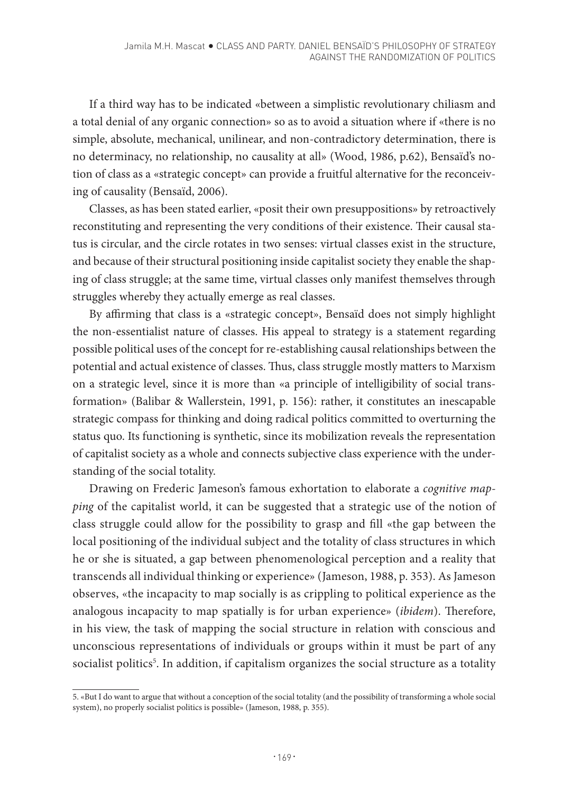If a third way has to be indicated «between a simplistic revolutionary chiliasm and a total denial of any organic connection» so as to avoid a situation where if «there is no simple, absolute, mechanical, unilinear, and non-contradictory determination, there is no determinacy, no relationship, no causality at all» (Wood, 1986, p.62), Bensaïd's notion of class as a «strategic concept» can provide a fruitful alternative for the reconceiving of causality (Bensaïd, 2006).

Classes, as has been stated earlier, «posit their own presuppositions» by retroactively reconstituting and representing the very conditions of their existence. Their causal status is circular, and the circle rotates in two senses: virtual classes exist in the structure, and because of their structural positioning inside capitalist society they enable the shaping of class struggle; at the same time, virtual classes only manifest themselves through struggles whereby they actually emerge as real classes.

By affirming that class is a «strategic concept», Bensaïd does not simply highlight the non-essentialist nature of classes. His appeal to strategy is a statement regarding possible political uses of the concept for re-establishing causal relationships between the potential and actual existence of classes. Thus, class struggle mostly matters to Marxism on a strategic level, since it is more than «a principle of intelligibility of social transformation» (Balibar & Wallerstein, 1991, p. 156): rather, it constitutes an inescapable strategic compass for thinking and doing radical politics committed to overturning the status quo. Its functioning is synthetic, since its mobilization reveals the representation of capitalist society as a whole and connects subjective class experience with the understanding of the social totality.

Drawing on Frederic Jameson's famous exhortation to elaborate a *cognitive mapping* of the capitalist world, it can be suggested that a strategic use of the notion of class struggle could allow for the possibility to grasp and fill «the gap between the local positioning of the individual subject and the totality of class structures in which he or she is situated, a gap between phenomenological perception and a reality that transcends all individual thinking or experience» (Jameson, 1988, p. 353). As Jameson observes, «the incapacity to map socially is as crippling to political experience as the analogous incapacity to map spatially is for urban experience» (*ibidem*). Therefore, in his view, the task of mapping the social structure in relation with conscious and unconscious representations of individuals or groups within it must be part of any socialist politics<sup>5</sup>. In addition, if capitalism organizes the social structure as a totality

<sup>5. «</sup>But I do want to argue that without a conception of the social totality (and the possibility of transforming a whole social system), no properly socialist politics is possible» (Jameson, 1988, p. 355).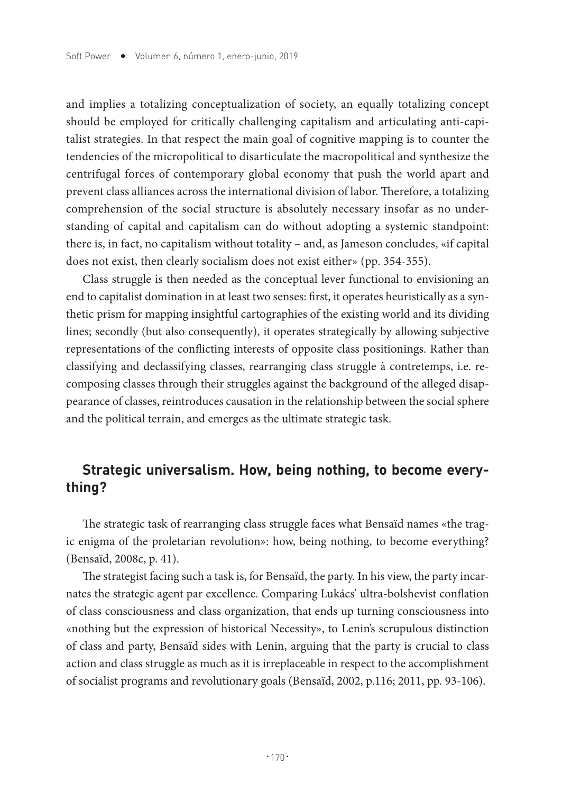and implies a totalizing conceptualization of society, an equally totalizing concept should be employed for critically challenging capitalism and articulating anti-capitalist strategies. In that respect the main goal of cognitive mapping is to counter the tendencies of the micropolitical to disarticulate the macropolitical and synthesize the centrifugal forces of contemporary global economy that push the world apart and prevent class alliances across the international division of labor. Therefore, a totalizing comprehension of the social structure is absolutely necessary insofar as no understanding of capital and capitalism can do without adopting a systemic standpoint: there is, in fact, no capitalism without totality – and, as Jameson concludes, «if capital does not exist, then clearly socialism does not exist either» (pp. 354-355).

Class struggle is then needed as the conceptual lever functional to envisioning an end to capitalist domination in at least two senses: first, it operates heuristically as a synthetic prism for mapping insightful cartographies of the existing world and its dividing lines; secondly (but also consequently), it operates strategically by allowing subjective representations of the conflicting interests of opposite class positionings. Rather than classifying and declassifying classes, rearranging class struggle à contretemps, i.e. recomposing classes through their struggles against the background of the alleged disappearance of classes, reintroduces causation in the relationship between the social sphere and the political terrain, and emerges as the ultimate strategic task.

# **Strategic universalism. How, being nothing, to become everything?**

The strategic task of rearranging class struggle faces what Bensaïd names «the tragic enigma of the proletarian revolution»: how, being nothing, to become everything? (Bensaïd, 2008c, p. 41).

The strategist facing such a task is, for Bensaïd, the party. In his view, the party incarnates the strategic agent par excellence. Comparing Lukács' ultra-bolshevist conflation of class consciousness and class organization, that ends up turning consciousness into «nothing but the expression of historical Necessity», to Lenin's scrupulous distinction of class and party, Bensaïd sides with Lenin, arguing that the party is crucial to class action and class struggle as much as it is irreplaceable in respect to the accomplishment of socialist programs and revolutionary goals (Bensaïd, 2002, p.116; 2011, pp. 93-106).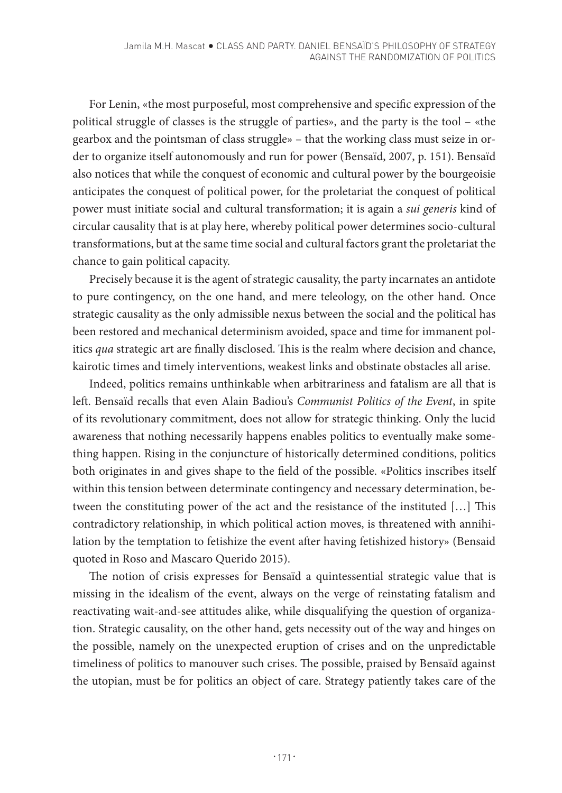For Lenin, «the most purposeful, most comprehensive and specific expression of the political struggle of classes is the struggle of parties», and the party is the tool – «the gearbox and the pointsman of class struggle» – that the working class must seize in order to organize itself autonomously and run for power (Bensaïd, 2007, p. 151). Bensaïd also notices that while the conquest of economic and cultural power by the bourgeoisie anticipates the conquest of political power, for the proletariat the conquest of political power must initiate social and cultural transformation; it is again a *sui generis* kind of circular causality that is at play here, whereby political power determines socio-cultural transformations, but at the same time social and cultural factors grant the proletariat the chance to gain political capacity.

Precisely because it is the agent of strategic causality, the party incarnates an antidote to pure contingency, on the one hand, and mere teleology, on the other hand. Once strategic causality as the only admissible nexus between the social and the political has been restored and mechanical determinism avoided, space and time for immanent politics *qua* strategic art are finally disclosed. This is the realm where decision and chance, kairotic times and timely interventions, weakest links and obstinate obstacles all arise.

Indeed, politics remains unthinkable when arbitrariness and fatalism are all that is left. Bensaïd recalls that even Alain Badiou's *Communist Politics of the Event*, in spite of its revolutionary commitment, does not allow for strategic thinking. Only the lucid awareness that nothing necessarily happens enables politics to eventually make something happen. Rising in the conjuncture of historically determined conditions, politics both originates in and gives shape to the field of the possible. «Politics inscribes itself within this tension between determinate contingency and necessary determination, between the constituting power of the act and the resistance of the instituted […] This contradictory relationship, in which political action moves, is threatened with annihilation by the temptation to fetishize the event after having fetishized history» (Bensaid quoted in Roso and Mascaro Querido 2015).

The notion of crisis expresses for Bensaïd a quintessential strategic value that is missing in the idealism of the event, always on the verge of reinstating fatalism and reactivating wait-and-see attitudes alike, while disqualifying the question of organization. Strategic causality, on the other hand, gets necessity out of the way and hinges on the possible, namely on the unexpected eruption of crises and on the unpredictable timeliness of politics to manouver such crises. The possible, praised by Bensaïd against the utopian, must be for politics an object of care. Strategy patiently takes care of the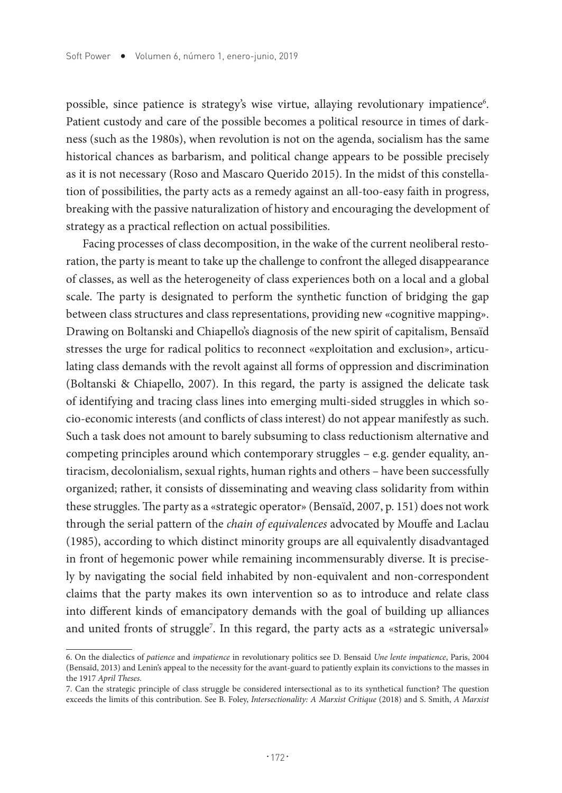possible, since patience is strategy's wise virtue, allaying revolutionary impatience<sup>6</sup>. Patient custody and care of the possible becomes a political resource in times of darkness (such as the 1980s), when revolution is not on the agenda, socialism has the same historical chances as barbarism, and political change appears to be possible precisely as it is not necessary (Roso and Mascaro Querido 2015). In the midst of this constellation of possibilities, the party acts as a remedy against an all-too-easy faith in progress, breaking with the passive naturalization of history and encouraging the development of strategy as a practical reflection on actual possibilities.

Facing processes of class decomposition, in the wake of the current neoliberal restoration, the party is meant to take up the challenge to confront the alleged disappearance of classes, as well as the heterogeneity of class experiences both on a local and a global scale. The party is designated to perform the synthetic function of bridging the gap between class structures and class representations, providing new «cognitive mapping». Drawing on Boltanski and Chiapello's diagnosis of the new spirit of capitalism, Bensaïd stresses the urge for radical politics to reconnect «exploitation and exclusion», articulating class demands with the revolt against all forms of oppression and discrimination (Boltanski & Chiapello, 2007). In this regard, the party is assigned the delicate task of identifying and tracing class lines into emerging multi-sided struggles in which socio-economic interests (and conflicts of class interest) do not appear manifestly as such. Such a task does not amount to barely subsuming to class reductionism alternative and competing principles around which contemporary struggles – e.g. gender equality, antiracism, decolonialism, sexual rights, human rights and others – have been successfully organized; rather, it consists of disseminating and weaving class solidarity from within these struggles. The party as a «strategic operator» (Bensaïd, 2007, p. 151) does not work through the serial pattern of the *chain of equivalences* advocated by Mouffe and Laclau (1985), according to which distinct minority groups are all equivalently disadvantaged in front of hegemonic power while remaining incommensurably diverse. It is precisely by navigating the social field inhabited by non-equivalent and non-correspondent claims that the party makes its own intervention so as to introduce and relate class into different kinds of emancipatory demands with the goal of building up alliances and united fronts of struggle<sup>7</sup>. In this regard, the party acts as a «strategic universal»

<sup>6.</sup> On the dialectics of *patience* and *impatience* in revolutionary politics see D. Bensaid *Une lente impatience*, Paris, 2004 (Bensaïd, 2013) and Lenin's appeal to the necessity for the avant-guard to patiently explain its convictions to the masses in the 1917 *April Theses.*

<sup>7.</sup> Can the strategic principle of class struggle be considered intersectional as to its synthetical function? The question exceeds the limits of this contribution. See B. Foley, *Intersectionality: A Marxist Critique* (2018) and S. Smith, *A Marxist*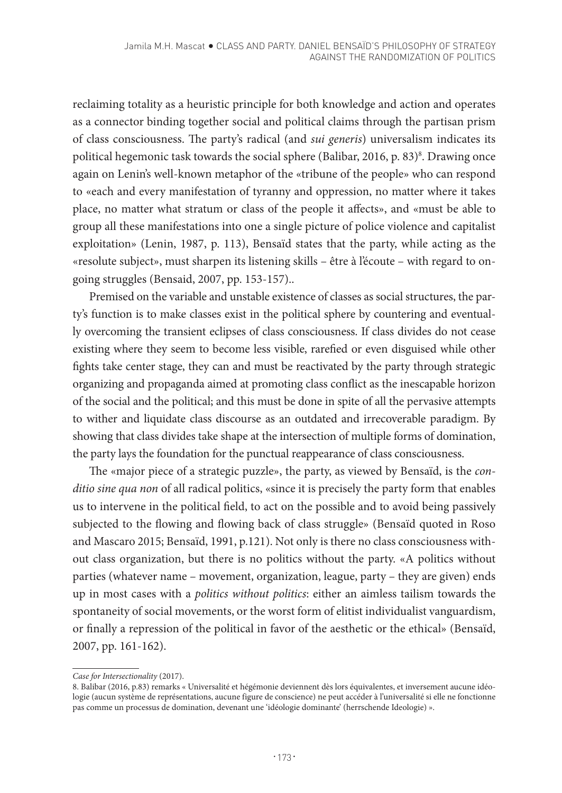reclaiming totality as a heuristic principle for both knowledge and action and operates as a connector binding together social and political claims through the partisan prism of class consciousness. The party's radical (and *sui generis*) universalism indicates its political hegemonic task towards the social sphere (Balibar, 2016, p. 83)<sup>8</sup>. Drawing once again on Lenin's well-known metaphor of the «tribune of the people» who can respond to «each and every manifestation of tyranny and oppression, no matter where it takes place, no matter what stratum or class of the people it affects», and «must be able to group all these manifestations into one a single picture of police violence and capitalist exploitation» (Lenin, 1987, p. 113), Bensaïd states that the party, while acting as the «resolute subject», must sharpen its listening skills – être à l'écoute – with regard to ongoing struggles (Bensaid, 2007, pp. 153-157)..

Premised on the variable and unstable existence of classes as social structures, the party's function is to make classes exist in the political sphere by countering and eventually overcoming the transient eclipses of class consciousness. If class divides do not cease existing where they seem to become less visible, rarefied or even disguised while other fights take center stage, they can and must be reactivated by the party through strategic organizing and propaganda aimed at promoting class conflict as the inescapable horizon of the social and the political; and this must be done in spite of all the pervasive attempts to wither and liquidate class discourse as an outdated and irrecoverable paradigm. By showing that class divides take shape at the intersection of multiple forms of domination, the party lays the foundation for the punctual reappearance of class consciousness.

The «major piece of a strategic puzzle», the party, as viewed by Bensaïd, is the *conditio sine qua non* of all radical politics, «since it is precisely the party form that enables us to intervene in the political field, to act on the possible and to avoid being passively subjected to the flowing and flowing back of class struggle» (Bensaïd quoted in Roso and Mascaro 2015; Bensaïd, 1991, p.121). Not only is there no class consciousness without class organization, but there is no politics without the party. «A politics without parties (whatever name – movement, organization, league, party – they are given) ends up in most cases with a *politics without politics*: either an aimless tailism towards the spontaneity of social movements, or the worst form of elitist individualist vanguardism, or finally a repression of the political in favor of the aesthetic or the ethical» (Bensaïd, 2007, pp. 161-162).

*Case for Intersectionality* (2017).

<sup>8.</sup> Balibar (2016, p.83) remarks « Universalité et hégémonie deviennent dès lors équivalentes, et inversement aucune idéologie (aucun système de représentations, aucune figure de conscience) ne peut accéder à l'universalité si elle ne fonctionne pas comme un processus de domination, devenant une 'idéologie dominante' (herrschende Ideologie) ».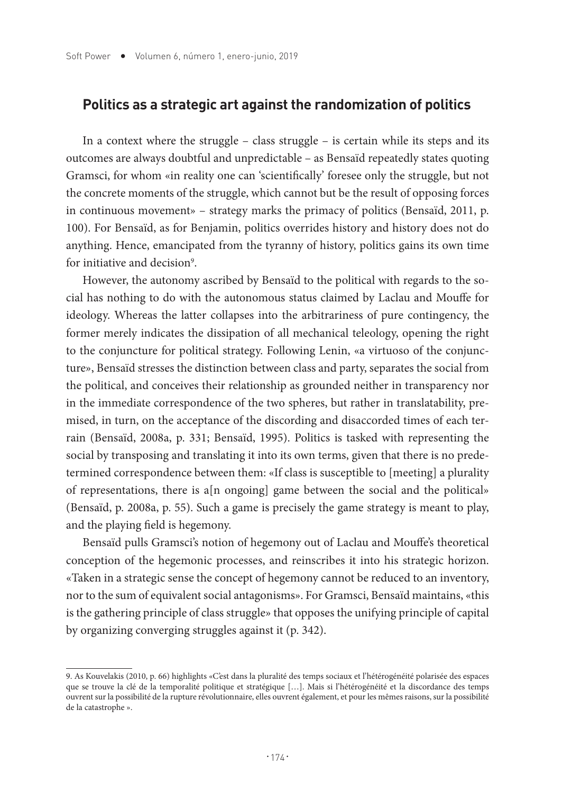#### **Politics as a strategic art against the randomization of politics**

In a context where the struggle  $-$  class struggle  $-$  is certain while its steps and its outcomes are always doubtful and unpredictable – as Bensaïd repeatedly states quoting Gramsci, for whom «in reality one can 'scientifically' foresee only the struggle, but not the concrete moments of the struggle, which cannot but be the result of opposing forces in continuous movement» – strategy marks the primacy of politics (Bensaïd, 2011, p. 100). For Bensaïd, as for Benjamin, politics overrides history and history does not do anything. Hence, emancipated from the tyranny of history, politics gains its own time for initiative and decision<sup>9</sup>.

However, the autonomy ascribed by Bensaïd to the political with regards to the social has nothing to do with the autonomous status claimed by Laclau and Mouffe for ideology. Whereas the latter collapses into the arbitrariness of pure contingency, the former merely indicates the dissipation of all mechanical teleology, opening the right to the conjuncture for political strategy. Following Lenin, «a virtuoso of the conjuncture», Bensaïd stresses the distinction between class and party, separates the social from the political, and conceives their relationship as grounded neither in transparency nor in the immediate correspondence of the two spheres, but rather in translatability, premised, in turn, on the acceptance of the discording and disaccorded times of each terrain (Bensaïd, 2008a, p. 331; Bensaïd, 1995). Politics is tasked with representing the social by transposing and translating it into its own terms, given that there is no predetermined correspondence between them: «If class is susceptible to [meeting] a plurality of representations, there is a[n ongoing] game between the social and the political» (Bensaïd, p. 2008a, p. 55). Such a game is precisely the game strategy is meant to play, and the playing field is hegemony.

Bensaïd pulls Gramsci's notion of hegemony out of Laclau and Mouffe's theoretical conception of the hegemonic processes, and reinscribes it into his strategic horizon. «Taken in a strategic sense the concept of hegemony cannot be reduced to an inventory, nor to the sum of equivalent social antagonisms». For Gramsci, Bensaïd maintains, «this is the gathering principle of class struggle» that opposes the unifying principle of capital by organizing converging struggles against it (p. 342).

<sup>9.</sup> As Kouvelakis (2010, p. 66) highlights «C'est dans la pluralité des temps sociaux et l'hétérogénéité polarisée des espaces que se trouve la clé de la temporalité politique et stratégique […]. Mais si l'hétérogénéité et la discordance des temps ouvrent sur la possibilité de la rupture révolutionnaire, elles ouvrent également, et pour les mêmes raisons, sur la possibilité de la catastrophe ».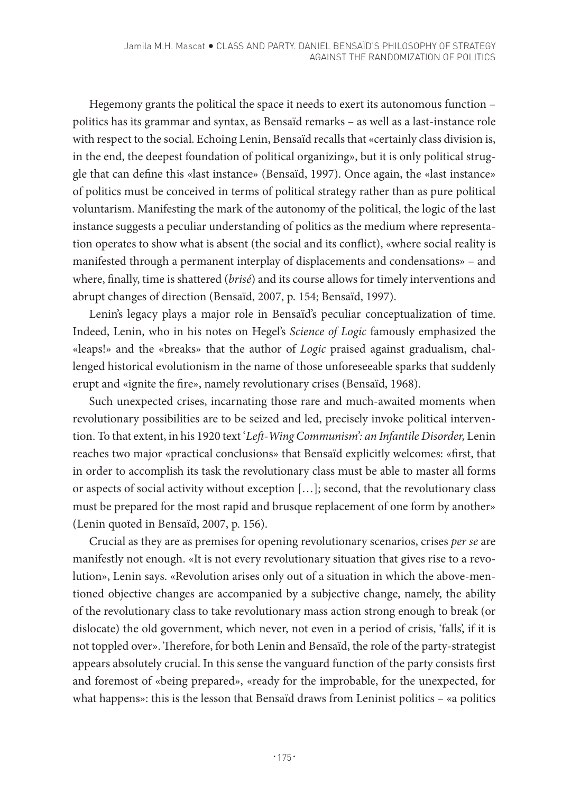Hegemony grants the political the space it needs to exert its autonomous function – politics has its grammar and syntax, as Bensaïd remarks – as well as a last-instance role with respect to the social. Echoing Lenin, Bensaïd recalls that «certainly class division is, in the end, the deepest foundation of political organizing», but it is only political struggle that can define this «last instance» (Bensaïd, 1997). Once again, the «last instance» of politics must be conceived in terms of political strategy rather than as pure political voluntarism. Manifesting the mark of the autonomy of the political, the logic of the last instance suggests a peculiar understanding of politics as the medium where representation operates to show what is absent (the social and its conflict), «where social reality is manifested through a permanent interplay of displacements and condensations» – and where, finally, time is shattered (*brisé*) and its course allows for timely interventions and abrupt changes of direction (Bensaïd, 2007, p. 154; Bensaïd, 1997).

Lenin's legacy plays a major role in Bensaïd's peculiar conceptualization of time. Indeed, Lenin, who in his notes on Hegel's *Science of Logic* famously emphasized the «leaps!» and the «breaks» that the author of *Logic* praised against gradualism, challenged historical evolutionism in the name of those unforeseeable sparks that suddenly erupt and «ignite the fire», namely revolutionary crises (Bensaïd, 1968).

Such unexpected crises, incarnating those rare and much-awaited moments when revolutionary possibilities are to be seized and led, precisely invoke political intervention. To that extent, in his 1920 text '*Left-Wing Communism': an Infantile Disorder,* Lenin reaches two major «practical conclusions» that Bensaïd explicitly welcomes: «first, that in order to accomplish its task the revolutionary class must be able to master all forms or aspects of social activity without exception […]; second, that the revolutionary class must be prepared for the most rapid and brusque replacement of one form by another» (Lenin quoted in Bensaïd, 2007, p. 156).

Crucial as they are as premises for opening revolutionary scenarios, crises *per se* are manifestly not enough. «It is not every revolutionary situation that gives rise to a revolution», Lenin says. «Revolution arises only out of a situation in which the above-mentioned objective changes are accompanied by a subjective change, namely, the ability of the revolutionary class to take revolutionary mass action strong enough to break (or dislocate) the old government, which never, not even in a period of crisis, 'falls', if it is not toppled over». Therefore, for both Lenin and Bensaïd, the role of the party-strategist appears absolutely crucial. In this sense the vanguard function of the party consists first and foremost of «being prepared», «ready for the improbable, for the unexpected, for what happens»: this is the lesson that Bensaïd draws from Leninist politics – «a politics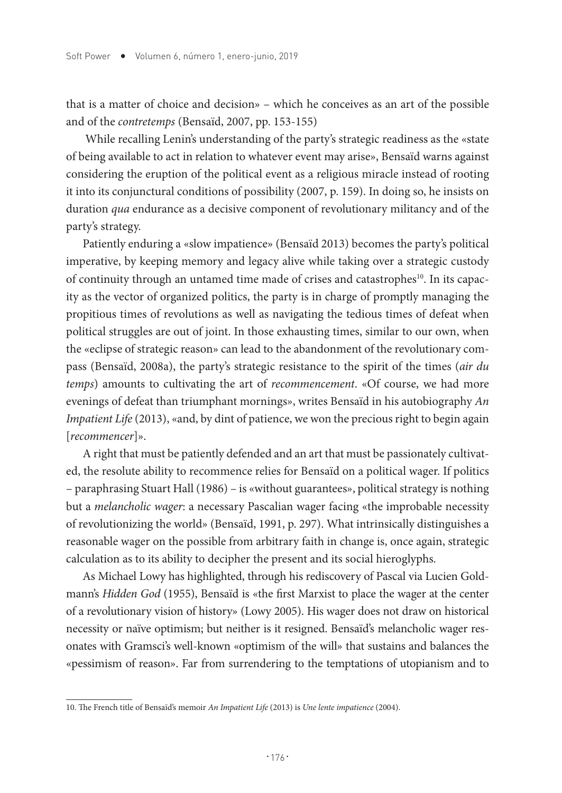that is a matter of choice and decision» – which he conceives as an art of the possible and of the *contretemps* (Bensaïd, 2007, pp. 153-155)

 While recalling Lenin's understanding of the party's strategic readiness as the «state of being available to act in relation to whatever event may arise», Bensaïd warns against considering the eruption of the political event as a religious miracle instead of rooting it into its conjunctural conditions of possibility (2007, p. 159). In doing so, he insists on duration *qua* endurance as a decisive component of revolutionary militancy and of the party's strategy.

Patiently enduring a «slow impatience» (Bensaïd 2013) becomes the party's political imperative, by keeping memory and legacy alive while taking over a strategic custody of continuity through an untamed time made of crises and catastrophes<sup>10</sup>. In its capacity as the vector of organized politics, the party is in charge of promptly managing the propitious times of revolutions as well as navigating the tedious times of defeat when political struggles are out of joint. In those exhausting times, similar to our own, when the «eclipse of strategic reason» can lead to the abandonment of the revolutionary compass (Bensaïd, 2008a), the party's strategic resistance to the spirit of the times (*air du temps*) amounts to cultivating the art of *recommencement*. «Of course, we had more evenings of defeat than triumphant mornings», writes Bensaïd in his autobiography *An Impatient Life* (2013), «and, by dint of patience, we won the precious right to begin again [*recommencer*]».

A right that must be patiently defended and an art that must be passionately cultivated, the resolute ability to recommence relies for Bensaïd on a political wager. If politics – paraphrasing Stuart Hall (1986) – is «without guarantees», political strategy is nothing but a *melancholic wager*: a necessary Pascalian wager facing «the improbable necessity of revolutionizing the world» (Bensaïd, 1991, p. 297). What intrinsically distinguishes a reasonable wager on the possible from arbitrary faith in change is, once again, strategic calculation as to its ability to decipher the present and its social hieroglyphs.

As Michael Lowy has highlighted, through his rediscovery of Pascal via Lucien Goldmann's *Hidden God* (1955), Bensaïd is «the first Marxist to place the wager at the center of a revolutionary vision of history» (Lowy 2005). His wager does not draw on historical necessity or naïve optimism; but neither is it resigned. Bensaïd's melancholic wager resonates with Gramsci's well-known «optimism of the will» that sustains and balances the «pessimism of reason». Far from surrendering to the temptations of utopianism and to

<sup>10.</sup> The French title of Bensaïd's memoir *An Impatient Life* (2013) is *Une lente impatience* (2004).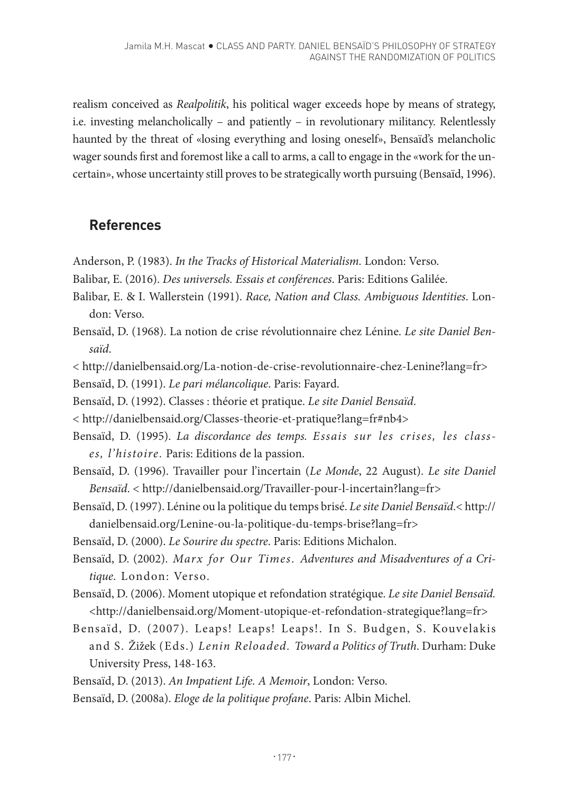realism conceived as *Realpolitik*, his political wager exceeds hope by means of strategy, i.e. investing melancholically – and patiently – in revolutionary militancy. Relentlessly haunted by the threat of «losing everything and losing oneself», Bensaïd's melancholic wager sounds first and foremost like a call to arms, a call to engage in the «work for the uncertain», whose uncertainty still proves to be strategically worth pursuing (Bensaïd, 1996).

## **References**

- Anderson, P. (1983). *In the Tracks of Historical Materialism.* London: Verso.
- Balibar, E. (2016). *Des universels. Essais et conférences*. Paris: Editions Galilée.
- Balibar, E. & I. Wallerstein (1991). *Race, Nation and Class. Ambiguous Identities*. London: Verso.
- Bensaïd, D. (1968). La notion de crise révolutionnaire chez Lénine. *Le site Daniel Bensaïd*.
- < http://danielbensaid.org/La-notion-de-crise-revolutionnaire-chez-Lenine?lang=fr>
- Bensaïd, D. (1991). *Le pari mélancolique*. Paris: Fayard.
- Bensaïd, D. (1992). Classes : théorie et pratique. *Le site Daniel Bensaïd*.
- < http://danielbensaid.org/Classes-theorie-et-pratique?lang=fr#nb4>
- Bensaïd, D. (1995). *La discordance des temps. Essais sur les crises, les classes, l'histoire.* Paris: Editions de la passion.
- Bensaïd, D. (1996). Travailler pour l'incertain (*Le Monde*, 22 August). *Le site Daniel Bensaïd*. < http://danielbensaid.org/Travailler-pour-l-incertain?lang=fr>
- Bensaïd, D. (1997). Lénine ou la politique du temps brisé. *Le site Daniel Bensaïd*.< http:// danielbensaid.org/Lenine-ou-la-politique-du-temps-brise?lang=fr>
- Bensaïd, D. (2000). *Le Sourire du spectre*. Paris: Editions Michalon.
- Bensaïd, D. (2002). *Marx for Our Times*. *Adventures and Misadventures of a Critique*. London: Verso.
- Bensaïd, D. (2006). Moment utopique et refondation stratégique. *Le site Daniel Bensaïd.*  <http://danielbensaid.org/Moment-utopique-et-refondation-strategique?lang=fr>
- Bensaïd, D. (2007). Leaps! Leaps! Leaps!. In S. Budgen, S. Kouvelakis and S. Žižek (Eds.) *Lenin Reloaded. Toward a Politics of Truth*. Durham: Duke University Press, 148-163.
- Bensaïd, D. (2013). *An Impatient Life. A Memoir*, London: Verso.
- Bensaïd, D. (2008a). *Eloge de la politique profane*. Paris: Albin Michel.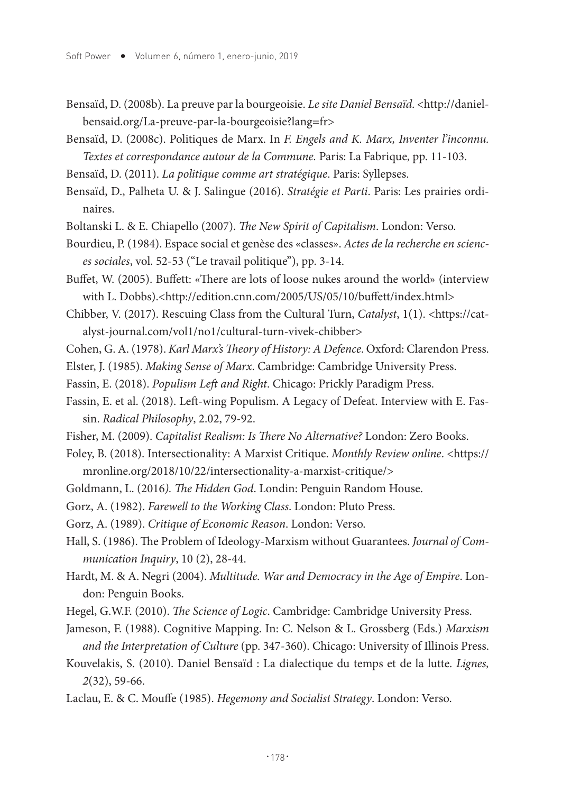- Bensaïd, D. (2008b). La preuve par la bourgeoisie. *Le site Daniel Bensaïd*. <http://danielbensaid.org/La-preuve-par-la-bourgeoisie?lang=fr>
- Bensaïd, D. (2008c). Politiques de Marx. In *F. Engels and K. Marx, Inventer l'inconnu. Textes et correspondance autour de la Commune.* Paris: La Fabrique, pp. 11-103.
- Bensaïd, D. (2011). *La politique comme art stratégique*. Paris: Syllepses.
- Bensaïd, D., Palheta U. & J. Salingue (2016). *Stratégie et Parti*. Paris: Les prairies ordinaires.
- Boltanski L. & E. Chiapello (2007). *The New Spirit of Capitalism*. London: Verso.
- Bourdieu, P. (1984). Espace social et genèse des «classes». *Actes de la recherche en sciences sociales*, vol. 52-53 ("Le travail politique"), pp. 3-14.
- Buffet, W. (2005). Buffett: «There are lots of loose nukes around the world» (interview with L. Dobbs).<http://edition.cnn.com/2005/US/05/10/buffett/index.html>
- Chibber, V. (2017). Rescuing Class from the Cultural Turn, *Catalyst*, 1(1). <https://catalyst-journal.com/vol1/no1/cultural-turn-vivek-chibber>
- Cohen, G. A. (1978). *Karl Marx's Theory of History: A Defence*. Oxford: Clarendon Press.
- Elster, J. (1985). *Making Sense of Marx*. Cambridge: Cambridge University Press.
- Fassin, E. (2018). *Populism Left and Right*. Chicago: Prickly Paradigm Press.
- Fassin, E. et al. (2018). Left-wing Populism. A Legacy of Defeat. Interview with E. Fassin. *Radical Philosophy*, 2.02, 79-92.
- Fisher, M. (2009). *Capitalist Realism: Is There No Alternative?* London: Zero Books.
- Foley, B. (2018). Intersectionality: A Marxist Critique. *Monthly Review online*. <https:// mronline.org/2018/10/22/intersectionality-a-marxist-critique/>
- Goldmann, L. (2016*). The Hidden God*. Londin: Penguin Random House.
- Gorz, A. (1982). *Farewell to the Working Class*. London: Pluto Press.
- Gorz, A. (1989). *Critique of Economic Reason*. London: Verso.
- Hall, S. (1986). The Problem of Ideology-Marxism without Guarantees. *Journal of Communication Inquiry*, 10 (2), 28-44.
- Hardt, M. & A. Negri (2004). *Multitude. War and Democracy in the Age of Empire*. London: Penguin Books.
- Hegel, G.W.F. (2010). *The Science of Logic*. Cambridge: Cambridge University Press.
- Jameson, F. (1988). Cognitive Mapping. In: C. Nelson & L. Grossberg (Eds.) *Marxism and the Interpretation of Culture* (pp. 347-360). Chicago: University of Illinois Press.
- Kouvelakis, S. (2010). Daniel Bensaïd : La dialectique du temps et de la lutte. *Lignes, 2*(32), 59-66.
- Laclau, E. & C. Mouffe (1985). *Hegemony and Socialist Strategy*. London: Verso.